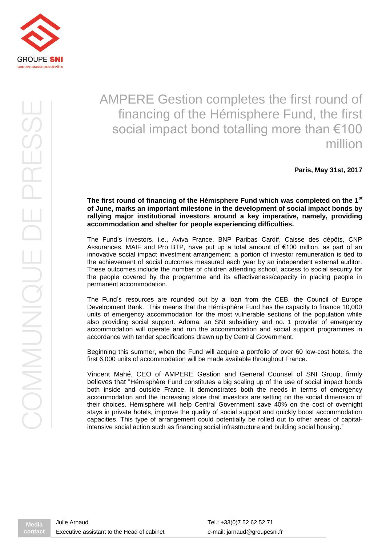

# AMPERE Gestion completes the first round of financing of the Hémisphere Fund, the first social impact bond totalling more than €100 million

**Paris, May 31st, 2017**

## **The first round of financing of the Hémisphere Fund which was completed on the 1st of June, marks an important milestone in the development of social impact bonds by rallying major institutional investors around a key imperative, namely, providing accommodation and shelter for people experiencing difficulties.**

The Fund's investors, i.e., Aviva France, BNP Paribas Cardif, Caisse des dépôts, CNP Assurances, MAIF and Pro BTP, have put up a total amount of €100 million, as part of an innovative social impact investment arrangement: a portion of investor remuneration is tied to the achievement of social outcomes measured each year by an independent external auditor. These outcomes include the number of children attending school, access to social security for the people covered by the programme and its effectiveness/capacity in placing people in permanent accommodation.

The Fund's resources are rounded out by a loan from the CEB, the Council of Europe Development Bank. This means that the Hémisphère Fund has the capacity to finance 10,000 units of emergency accommodation for the most vulnerable sections of the population while also providing social support. Adoma, an SNI subsidiary and no. 1 provider of emergency accommodation will operate and run the accommodation and social support programmes in accordance with tender specifications drawn up by Central Government.

Beginning this summer, when the Fund will acquire a portfolio of over 60 low-cost hotels, the first 6,000 units of accommodation will be made available throughout France.

Vincent Mahé, CEO of AMPERE Gestion and General Counsel of SNI Group, firmly believes that "Hémisphère Fund constitutes a big scaling up of the use of social impact bonds both inside and outside France. It demonstrates both the needs in terms of emergency accommodation and the increasing store that investors are setting on the social dimension of their choices. Hémisphère will help Central Government save 40% on the cost of overnight stays in private hotels, improve the quality of social support and quickly boost accommodation capacities. This type of arrangement could potentially be rolled out to other areas of capitalintensive social action such as financing social infrastructure and building social housing."